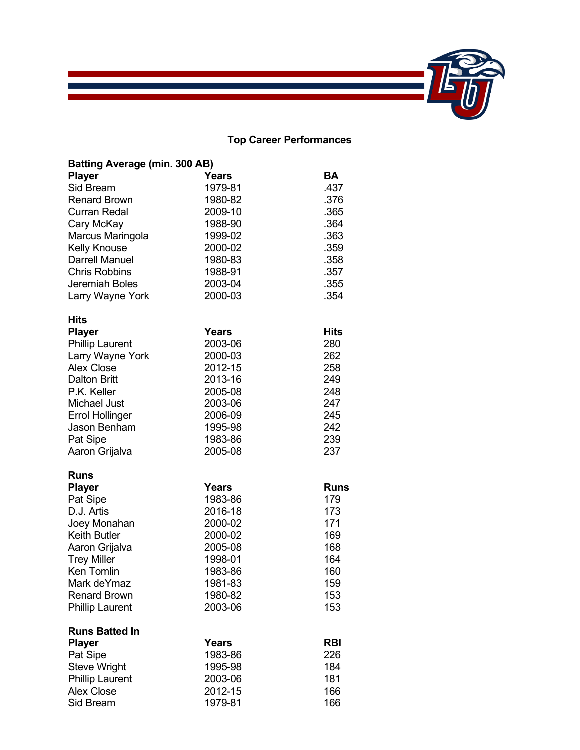

## **Top Career Performances**

| Batting Average (min. 300 AB) |              |             |
|-------------------------------|--------------|-------------|
| <b>Player</b>                 | <b>Years</b> | <b>BA</b>   |
| Sid Bream                     | 1979-81      | .437        |
| <b>Renard Brown</b>           | 1980-82      | .376        |
| Curran Redal                  | 2009-10      | .365        |
| Cary McKay                    | 1988-90      | .364        |
| Marcus Maringola              | 1999-02      | .363        |
| <b>Kelly Knouse</b>           | 2000-02      | .359        |
| <b>Darrell Manuel</b>         | 1980-83      | .358        |
| <b>Chris Robbins</b>          | 1988-91      | .357        |
| Jeremiah Boles                | 2003-04      | .355        |
| Larry Wayne York              | 2000-03      | .354        |
| <b>Hits</b>                   |              |             |
| <b>Player</b>                 | <b>Years</b> | Hits        |
| <b>Phillip Laurent</b>        | 2003-06      | 280         |
| Larry Wayne York              | 2000-03      | 262         |
| <b>Alex Close</b>             | 2012-15      | 258         |
| <b>Dalton Britt</b>           | 2013-16      | 249         |
| P.K. Keller                   | 2005-08      | 248         |
| <b>Michael Just</b>           | 2003-06      | 247         |
| <b>Errol Hollinger</b>        | 2006-09      | 245         |
| <b>Jason Benham</b>           | 1995-98      | 242         |
| Pat Sipe                      | 1983-86      | 239         |
| Aaron Grijalva                | 2005-08      | 237         |
| Runs                          |              |             |
| <b>Player</b>                 | Years        | <b>Runs</b> |
| Pat Sipe                      | 1983-86      | 179         |
| D.J. Artis                    | 2016-18      | 173         |
| Joey Monahan                  | 2000-02      | 171         |
| <b>Keith Butler</b>           | 2000-02      | 169         |
| Aaron Grijalva                | 2005-08      | 168         |
| <b>Trey Miller</b>            | 1998-01      | 164         |
| Ken Tomlin                    | 1983-86      | 160         |
| Mark deYmaz                   | 1981-83      | 159         |
| <b>Renard Brown</b>           | 1980-82      | 153         |
| <b>Phillip Laurent</b>        | 2003-06      | 153         |
| <b>Runs Batted In</b>         |              |             |
| <b>Player</b>                 | <b>Years</b> | <b>RBI</b>  |
| Pat Sipe                      | 1983-86      | 226         |
| <b>Steve Wright</b>           | 1995-98      | 184         |
| <b>Phillip Laurent</b>        | 2003-06      | 181         |
| <b>Alex Close</b>             | 2012-15      | 166         |
| Sid Bream                     | 1979-81      | 166         |

 $\mathcal{L}_{\mathcal{A}}$  and  $\mathcal{L}_{\mathcal{A}}$  are the set of the set of the set of the set of the set of  $\mathcal{L}_{\mathcal{A}}$  $\mathcal{L}(\mathcal{L}(\mathcal{L}(\mathcal{L}(\mathcal{L}(\mathcal{L}(\mathcal{L}(\mathcal{L}(\mathcal{L}(\mathcal{L}(\mathcal{L}(\mathcal{L}(\mathcal{L}(\mathcal{L}(\mathcal{L}(\mathcal{L}(\mathcal{L}(\mathcal{L}(\mathcal{L}(\mathcal{L}(\mathcal{L}(\mathcal{L}(\mathcal{L}(\mathcal{L}(\mathcal{L}(\mathcal{L}(\mathcal{L}(\mathcal{L}(\mathcal{L}(\mathcal{L}(\mathcal{L}(\mathcal{L}(\mathcal{L}(\mathcal{L}(\mathcal{L}(\mathcal{L}(\mathcal{$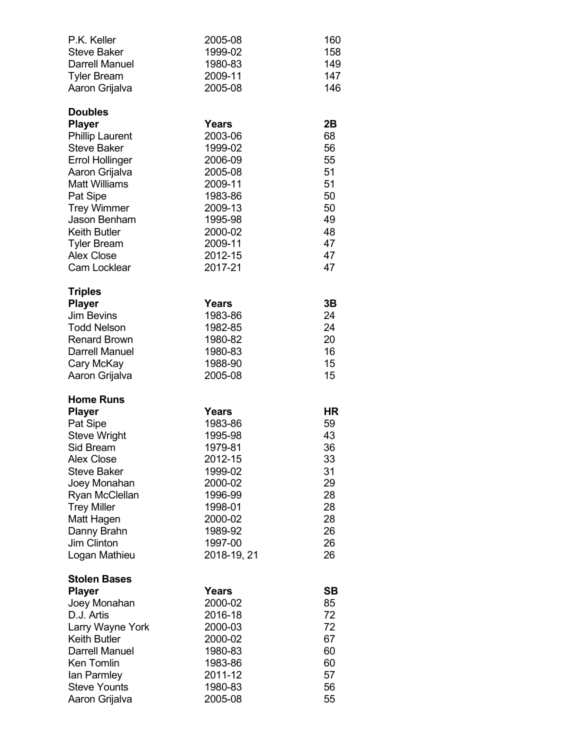| P.K. Keller<br><b>Steve Baker</b><br><b>Darrell Manuel</b><br><b>Tyler Bream</b><br>Aaron Grijalva                                                                                                                                                                                             | 2005-08<br>1999-02<br>1980-83<br>2009-11<br>2005-08                                                                                           | 160<br>158<br>149<br>147<br>146                                            |
|------------------------------------------------------------------------------------------------------------------------------------------------------------------------------------------------------------------------------------------------------------------------------------------------|-----------------------------------------------------------------------------------------------------------------------------------------------|----------------------------------------------------------------------------|
| <b>Doubles</b><br><b>Player</b><br><b>Phillip Laurent</b><br><b>Steve Baker</b><br><b>Errol Hollinger</b><br>Aaron Grijalva<br><b>Matt Williams</b><br>Pat Sipe<br><b>Trey Wimmer</b><br><b>Jason Benham</b><br><b>Keith Butler</b><br><b>Tyler Bream</b><br><b>Alex Close</b><br>Cam Locklear | Years<br>2003-06<br>1999-02<br>2006-09<br>2005-08<br>2009-11<br>1983-86<br>2009-13<br>1995-98<br>2000-02<br>2009-11<br>2012-15<br>2017-21     | 2Β<br>68<br>56<br>55<br>51<br>51<br>50<br>50<br>49<br>48<br>47<br>47<br>47 |
| <b>Triples</b><br><b>Player</b><br><b>Jim Bevins</b><br><b>Todd Nelson</b><br><b>Renard Brown</b><br><b>Darrell Manuel</b><br>Cary McKay<br>Aaron Grijalva                                                                                                                                     | Years<br>1983-86<br>1982-85<br>1980-82<br>1980-83<br>1988-90<br>2005-08                                                                       | 3B<br>24<br>24<br>20<br>16<br>15<br>15                                     |
| <b>Home Runs</b><br><b>Player</b><br>Pat Sipe<br><b>Steve Wright</b><br>Sid Bream<br>Alex Close<br>Steve Baker<br>Joey Monahan<br>Ryan McClellan<br><b>Trey Miller</b><br>Matt Hagen<br>Danny Brahn<br><b>Jim Clinton</b><br>Logan Mathieu                                                     | Years<br>1983-86<br>1995-98<br>1979-81<br>2012-15<br>1999-02<br>2000-02<br>1996-99<br>1998-01<br>2000-02<br>1989-92<br>1997-00<br>2018-19, 21 | ΗR<br>59<br>43<br>36<br>33<br>31<br>29<br>28<br>28<br>28<br>26<br>26<br>26 |
| <b>Stolen Bases</b><br><b>Player</b><br>Joey Monahan<br>D.J. Artis<br>Larry Wayne York<br><b>Keith Butler</b><br><b>Darrell Manuel</b><br>Ken Tomlin<br>lan Parmley<br><b>Steve Younts</b><br>Aaron Grijalva                                                                                   | Years<br>2000-02<br>2016-18<br>2000-03<br>2000-02<br>1980-83<br>1983-86<br>2011-12<br>1980-83<br>2005-08                                      | SΒ<br>85<br>72<br>72<br>67<br>60<br>60<br>57<br>56<br>55                   |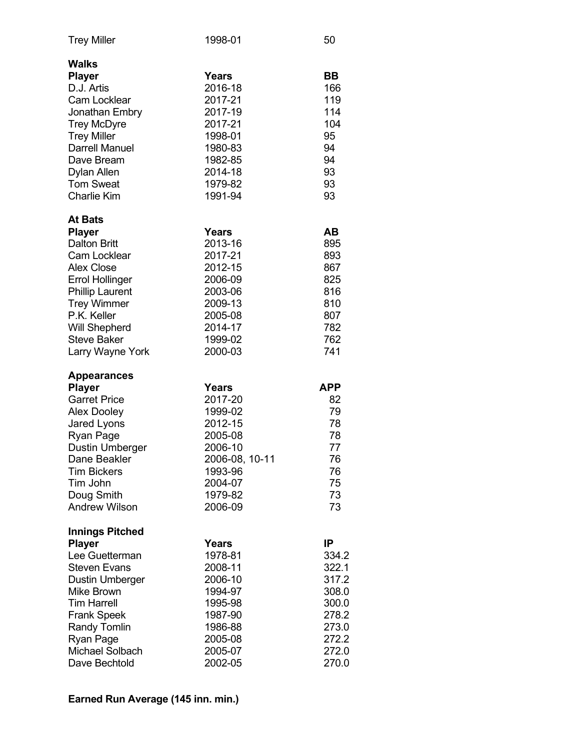| <b>Trey Miller</b>                                                                                                                                                                                                                                            | 1998-01                                                                                                                    | 50                                                                                           |
|---------------------------------------------------------------------------------------------------------------------------------------------------------------------------------------------------------------------------------------------------------------|----------------------------------------------------------------------------------------------------------------------------|----------------------------------------------------------------------------------------------|
| Walks<br><b>Player</b><br>D.J. Artis<br>Cam Locklear<br>Jonathan Embry<br><b>Trey McDyre</b><br><b>Trey Miller</b><br><b>Darrell Manuel</b><br>Dave Bream<br>Dylan Allen<br><b>Tom Sweat</b><br><b>Charlie Kim</b>                                            | <b>Years</b><br>2016-18<br>2017-21<br>2017-19<br>2017-21<br>1998-01<br>1980-83<br>1982-85<br>2014-18<br>1979-82<br>1991-94 | BВ<br>166<br>119<br>114<br>104<br>95<br>94<br>94<br>93<br>93<br>93                           |
| <b>At Bats</b><br><b>Player</b><br><b>Dalton Britt</b><br><b>Cam Locklear</b><br><b>Alex Close</b><br><b>Errol Hollinger</b><br><b>Phillip Laurent</b><br><b>Trey Wimmer</b><br>P.K. Keller<br><b>Will Shepherd</b><br><b>Steve Baker</b><br>Larry Wayne York | Years<br>2013-16<br>2017-21<br>2012-15<br>2006-09<br>2003-06<br>2009-13<br>2005-08<br>2014-17<br>1999-02<br>2000-03        | AВ<br>895<br>893<br>867<br>825<br>816<br>810<br>807<br>782<br>762<br>741                     |
| <b>Appearances</b><br><b>Player</b><br><b>Garret Price</b><br><b>Alex Dooley</b><br>Jared Lyons<br>Ryan Page<br>Dustin Umberger<br>Dane Beakler<br><b>Tim Bickers</b><br>Tim John<br>Doug Smith<br><b>Andrew Wilson</b>                                       | Years<br>2017-20<br>1999-02<br>2012-15<br>2005-08<br>2006-10<br>2006-08, 10-11<br>1993-96<br>2004-07<br>1979-82<br>2006-09 | APP<br>82<br>79<br>78<br>78<br>77<br>76<br>76<br>75<br>73<br>73                              |
| <b>Innings Pitched</b><br><b>Player</b><br>Lee Guetterman<br><b>Steven Evans</b><br>Dustin Umberger<br>Mike Brown<br><b>Tim Harrell</b><br><b>Frank Speek</b><br>Randy Tomlin<br>Ryan Page<br>Michael Solbach<br>Dave Bechtold                                | <b>Years</b><br>1978-81<br>2008-11<br>2006-10<br>1994-97<br>1995-98<br>1987-90<br>1986-88<br>2005-08<br>2005-07<br>2002-05 | IP<br>334.2<br>322.1<br>317.2<br>308.0<br>300.0<br>278.2<br>273.0<br>272.2<br>272.0<br>270.0 |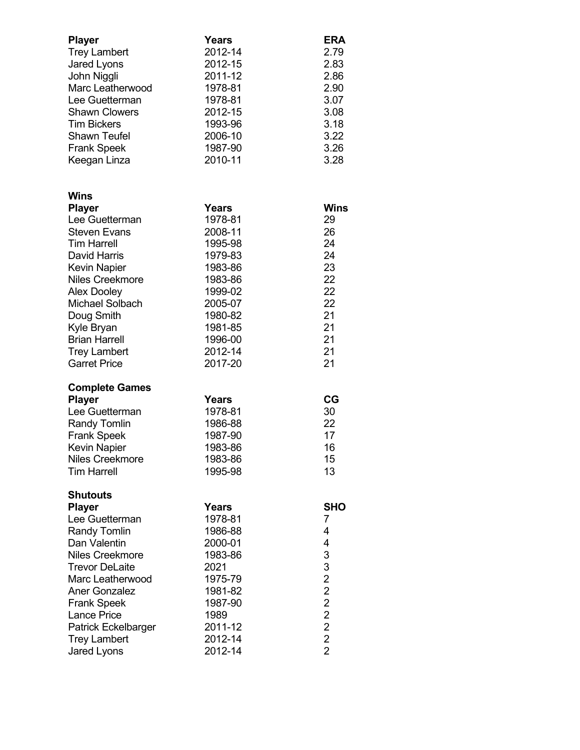| <b>Player</b><br><b>Trey Lambert</b><br>Jared Lyons<br>John Niggli<br>Marc Leatherwood<br>Lee Guetterman<br><b>Shawn Clowers</b><br><b>Tim Bickers</b><br><b>Shawn Teufel</b><br><b>Frank Speek</b><br>Keegan Linza                                                                                     | <b>Years</b><br>2012-14<br>2012-15<br>2011-12<br>1978-81<br>1978-81<br>2012-15<br>1993-96<br>2006-10<br>1987-90<br>2010-11                           | <b>ERA</b><br>2.79<br>2.83<br>2.86<br>2.90<br>3.07<br>3.08<br>3.18<br>3.22<br>3.26<br>3.28 |
|---------------------------------------------------------------------------------------------------------------------------------------------------------------------------------------------------------------------------------------------------------------------------------------------------------|------------------------------------------------------------------------------------------------------------------------------------------------------|--------------------------------------------------------------------------------------------|
| Wins<br><b>Player</b><br>Lee Guetterman<br><b>Steven Evans</b><br><b>Tim Harrell</b><br><b>David Harris</b><br><b>Kevin Napier</b><br><b>Niles Creekmore</b><br><b>Alex Dooley</b><br>Michael Solbach<br>Doug Smith<br>Kyle Bryan<br><b>Brian Harrell</b><br><b>Trey Lambert</b><br><b>Garret Price</b> | Years<br>1978-81<br>2008-11<br>1995-98<br>1979-83<br>1983-86<br>1983-86<br>1999-02<br>2005-07<br>1980-82<br>1981-85<br>1996-00<br>2012-14<br>2017-20 | Wins<br>29<br>26<br>24<br>24<br>23<br>22<br>22<br>22<br>21<br>21<br>21<br>21<br>21         |
| <b>Complete Games</b><br><b>Player</b><br>Lee Guetterman<br><b>Randy Tomlin</b><br><b>Frank Speek</b><br><b>Kevin Napier</b><br><b>Niles Creekmore</b><br><b>Tim Harrell</b>                                                                                                                            | Years<br>1978-81<br>1986-88<br>1987-90<br>1983-86<br>1983-86<br>1995-98                                                                              | CG<br>30<br>22<br>17<br>16<br>15<br>13                                                     |
| <b>Shutouts</b><br><b>Player</b><br>Lee Guetterman<br><b>Randy Tomlin</b><br>Dan Valentin<br>Niles Creekmore<br><b>Trevor DeLaite</b><br>Marc Leatherwood<br><b>Aner Gonzalez</b><br><b>Frank Speek</b><br><b>Lance Price</b><br>Patrick Eckelbarger<br><b>Trey Lambert</b><br>Jared Lyons              | Years<br>1978-81<br>1986-88<br>2000-01<br>1983-86<br>2021<br>1975-79<br>1981-82<br>1987-90<br>1989<br>2011-12<br>2012-14<br>2012-14                  | <b>SHO</b><br>7<br>4<br>4<br>3322222<br>$\overline{2}$                                     |